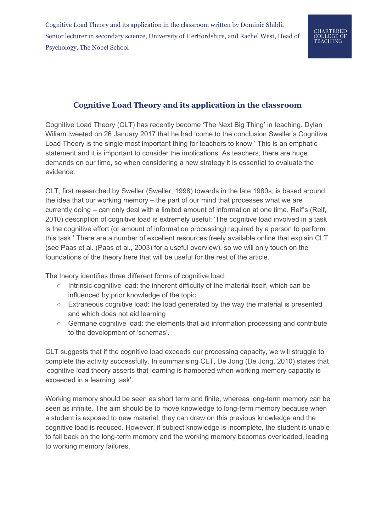# **Cognitive Load Theory and its application in the classroom**

Cognitive Load Theory (CLT) has recently become 'The Next Big Thing' in teaching. Dylan Wiliam tweeted on 26 January 2017 that he had 'come to the conclusion Sweller's Cognitive Load Theory is the single most important thing for teachers to know.' This is an emphatic statement and it is important to consider the implications. As teachers, there are huge demands on our time, so when considering a new strategy it is essential to evaluate the evidence.

CLT, first researched by Sweller (Sweller, 1998) towards in the late 1980s, is based around the idea that our working memory – the part of our mind that processes what we are currently doing – can only deal with a limited amount of information at one time. Reif's (Reif, 2010) description of cognitive load is extremely useful: 'The cognitive load involved in a task is the cognitive effort (or amount of information processing) required by a person to perform this task.' There are a number of excellent resources freely available online that explain CLT (see Paas et al. (Paas et al., 2003) for a useful overview), so we will only touch on the foundations of the theory here that will be useful for the rest of the article.

The theory identifies three different forms of cognitive load:

- Intrinsic cognitive load: the inherent difficulty of the material itself, which can be influenced by prior knowledge of the topic
- Extraneous cognitive load: the load generated by the way the material is presented and which does not aid learning
- Germane cognitive load: the elements that aid information processing and contribute to the development of 'schemas'.

CLT suggests that if the cognitive load exceeds our processing capacity, we will struggle to complete the activity successfully. In summarising CLT, De Jong (De Jong, 2010) states that 'cognitive load theory asserts that learning is hampered when working memory capacity is exceeded in a learning task'.

Working memory should be seen as short term and finite, whereas long-term memory can be seen as infinite. The aim should be to move knowledge to long-term memory because when a student is exposed to new material, they can draw on this previous knowledge and the cognitive load is reduced. However, if subject knowledge is incomplete, the student is unable to fall back on the long-term memory and the working memory becomes overloaded, leading to working memory failures.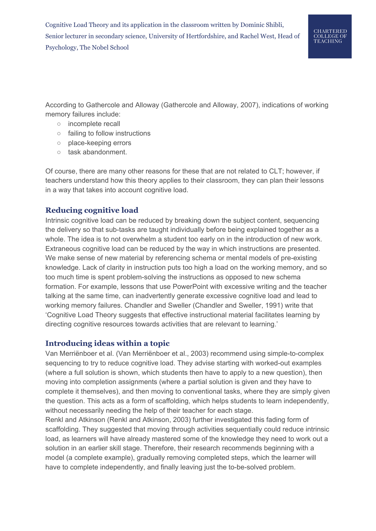According to Gathercole and Alloway (Gathercole and Alloway, 2007), indications of working memory failures include:

- incomplete recall
- failing to follow instructions
- place-keeping errors
- task abandonment.

Of course, there are many other reasons for these that are not related to CLT; however, if teachers understand how this theory applies to their classroom, they can plan their lessons in a way that takes into account cognitive load.

## **Reducing cognitive load**

Intrinsic cognitive load can be reduced by breaking down the subject content, sequencing the delivery so that sub-tasks are taught individually before being explained together as a whole. The idea is to not overwhelm a student too early on in the introduction of new work. Extraneous cognitive load can be reduced by the way in which instructions are presented. We make sense of new material by referencing schema or mental models of pre-existing knowledge. Lack of clarity in instruction puts too high a load on the working memory, and so too much time is spent problem-solving the instructions as opposed to new schema formation. For example, lessons that use PowerPoint with excessive writing and the teacher talking at the same time, can inadvertently generate excessive cognitive load and lead to working memory failures. Chandler and Sweller (Chandler and Sweller, 1991) write that 'Cognitive Load Theory suggests that effective instructional material facilitates learning by directing cognitive resources towards activities that are relevant to learning.'

#### **Introducing ideas within a topic**

Van Merriënboer et al. (Van Merriënboer et al., 2003) recommend using simple-to-complex sequencing to try to reduce cognitive load. They advise starting with worked-out examples (where a full solution is shown, which students then have to apply to a new question), then moving into completion assignments (where a partial solution is given and they have to complete it themselves), and then moving to conventional tasks, where they are simply given the question. This acts as a form of scaffolding, which helps students to learn independently, without necessarily needing the help of their teacher for each stage.

Renkl and Atkinson (Renkl and Atkinson, 2003) further investigated this fading form of scaffolding. They suggested that moving through activities sequentially could reduce intrinsic load, as learners will have already mastered some of the knowledge they need to work out a solution in an earlier skill stage. Therefore, their research recommends beginning with a model (a complete example), gradually removing completed steps, which the learner will have to complete independently, and finally leaving just the to-be-solved problem.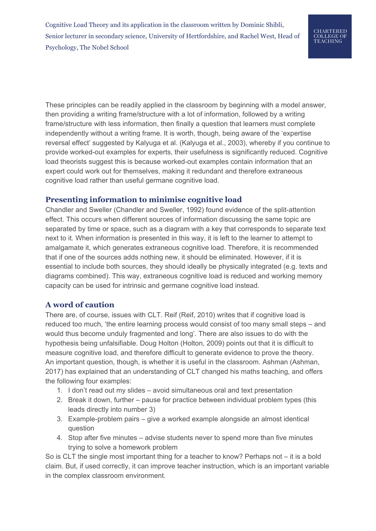These principles can be readily applied in the classroom by beginning with a model answer, then providing a writing frame/structure with a lot of information, followed by a writing frame/structure with less information, then finally a question that learners must complete independently without a writing frame. It is worth, though, being aware of the 'expertise reversal effect' suggested by Kalyuga et al. (Kalyuga et al., 2003), whereby if you continue to provide worked-out examples for experts, their usefulness is significantly reduced. Cognitive load theorists suggest this is because worked-out examples contain information that an expert could work out for themselves, making it redundant and therefore extraneous cognitive load rather than useful germane cognitive load.

#### **Presenting information to minimise cognitive load**

Chandler and Sweller (Chandler and Sweller, 1992) found evidence of the split-attention effect. This occurs when different sources of information discussing the same topic are separated by time or space, such as a diagram with a key that corresponds to separate text next to it. When information is presented in this way, it is left to the learner to attempt to amalgamate it, which generates extraneous cognitive load. Therefore, it is recommended that if one of the sources adds nothing new, it should be eliminated. However, if it is essential to include both sources, they should ideally be physically integrated (e.g. texts and diagrams combined). This way, extraneous cognitive load is reduced and working memory capacity can be used for intrinsic and germane cognitive load instead.

## **A word of caution**

There are, of course, issues with CLT. Reif (Reif, 2010) writes that if cognitive load is reduced too much, 'the entire learning process would consist of too many small steps – and would thus become unduly fragmented and long'. There are also issues to do with the hypothesis being unfalsifiable. Doug Holton (Holton, 2009) points out that it is difficult to measure cognitive load, and therefore difficult to generate evidence to prove the theory. An important question, though, is whether it is useful in the classroom. Ashman (Ashman, 2017) has explained that an understanding of CLT changed his maths teaching, and offers the following four examples:

- 1. I don't read out my slides avoid simultaneous oral and text presentation
- 2. Break it down, further pause for practice between individual problem types (this leads directly into number 3)
- 3. Example-problem pairs give a worked example alongside an almost identical question
- 4. Stop after five minutes advise students never to spend more than five minutes trying to solve a homework problem

So is CLT the single most important thing for a teacher to know? Perhaps not – it is a bold claim. But, if used correctly, it can improve teacher instruction, which is an important variable in the complex classroom environment.